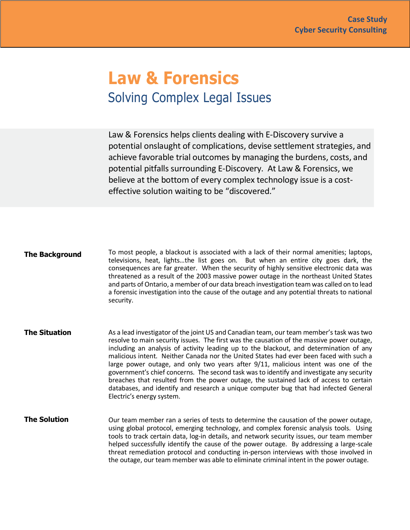## **Law & Forensics** Solving Complex Legal Issues

Law & Forensics helps clients dealing with E-Discovery survive a potential onslaught of complications, devise settlement strategies, and achieve favorable trial outcomes by managing the burdens, costs, and potential pitfalls surrounding E-Discovery. At Law & Forensics, we believe at the bottom of every complex technology issue is a costeffective solution waiting to be "discovered."

**The Background** To most people, a blackout is associated with a lack of their normal amenities; laptops, televisions, heat, lights…the list goes on. But when an entire city goes dark, the consequences are far greater. When the security of highly sensitive electronic data was threatened as a result of the 2003 massive power outage in the northeast United States and parts of Ontario, a member of our data breach investigation team was called on to lead a forensic investigation into the cause of the outage and any potential threats to national security.

- **The Situation** As a lead investigator of the joint US and Canadian team, our team member's task was two resolve to main security issues. The first was the causation of the massive power outage, including an analysis of activity leading up to the blackout, and determination of any malicious intent. Neither Canada nor the United States had ever been faced with such a large power outage, and only two years after 9/11, malicious intent was one of the government's chief concerns. The second task was to identify and investigate any security breaches that resulted from the power outage, the sustained lack of access to certain databases, and identify and research a unique computer bug that had infected General Electric's energy system.
- **The Solution**  Our team member ran a series of tests to determine the causation of the power outage, using global protocol, emerging technology, and complex forensic analysis tools. Using tools to track certain data, log-in details, and network security issues, our team member helped successfully identify the cause of the power outage. By addressing a large-scale threat remediation protocol and conducting in-person interviews with those involved in the outage, our team member was able to eliminate criminal intent in the power outage.